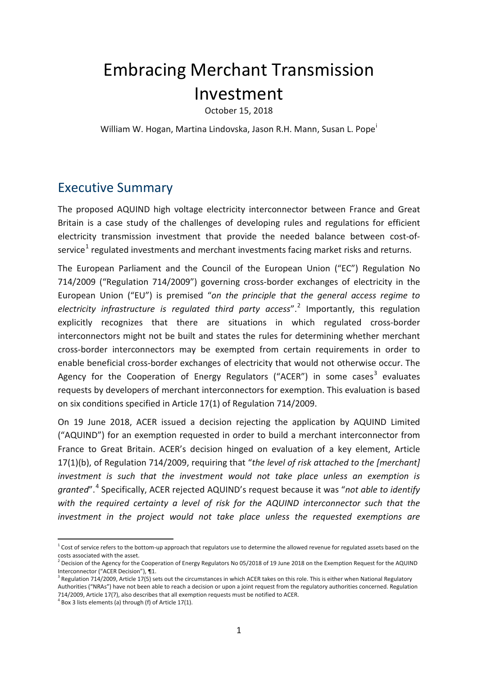# Embracing Merchant Transmission Investment

October 15, 2018

W[i](#page-15-0)lliam W. Hogan, Martina Lindovska, Jason R.H. Mann, Susan L. Pope<sup>i</sup>

## Executive Summary

The proposed AQUIND high voltage electricity interconnector between France and Great Britain is a case study of the challenges of developing rules and regulations for efficient electricity transmission investment that provide the needed balance between cost-of-service<sup>[1](#page-0-0)</sup> regulated investments and merchant investments facing market risks and returns.

The European Parliament and the Council of the European Union ("EC") Regulation No 714/2009 ("Regulation 714/2009") governing cross-border exchanges of electricity in the European Union ("EU") is premised "*on the principle that the general access regime to electricity infrastructure is regulated third party access*". [2](#page-0-1) Importantly, this regulation explicitly recognizes that there are situations in which regulated cross-border interconnectors might not be built and states the rules for determining whether merchant cross-border interconnectors may be exempted from certain requirements in order to enable beneficial cross-border exchanges of electricity that would not otherwise occur. The Agency for the Cooperation of Energy Regulators ("ACER") in some cases<sup>[3](#page-0-2)</sup> evaluates requests by developers of merchant interconnectors for exemption. This evaluation is based on six conditions specified in Article 17(1) of Regulation 714/2009.

On 19 June 2018, ACER issued a decision rejecting the application by AQUIND Limited ("AQUIND") for an exemption requested in order to build a merchant interconnector from France to Great Britain. ACER's decision hinged on evaluation of a key element, Article 17(1)(b), of Regulation 714/2009, requiring that "*the level of risk attached to the [merchant] investment is such that the investment would not take place unless an exemption is granted*". [4](#page-0-3) Specifically, ACER rejected AQUIND's request because it was "*not able to identify with the required certainty a level of risk for the AQUIND interconnector such that the investment in the project would not take place unless the requested exemptions are* 

<span id="page-0-0"></span> $1$  Cost of service refers to the bottom-up approach that regulators use to determine the allowed revenue for regulated assets based on the costs associated with the asset.

<span id="page-0-1"></span> $^2$  Decision of the Agency for the Cooperation of Energy Regulators No 05/2018 of 19 June 2018 on the Exemption Request for the AQUIND Interconnector ("ACER Decision"), ¶1.

<span id="page-0-2"></span> $3$  Regulation 714/2009, Article 17(5) sets out the circumstances in which ACER takes on this role. This is either when National Regulatory Authorities ("NRAs") have not been able to reach a decision or upon a joint request from the regulatory authorities concerned. Regulation 714/2009, Article 17(7), also describes that all exemption requests must be notified to ACER.<br><sup>4</sup> [Box 3](#page-9-0) lists elements (a) through (f) of Article 17(1).

<span id="page-0-3"></span>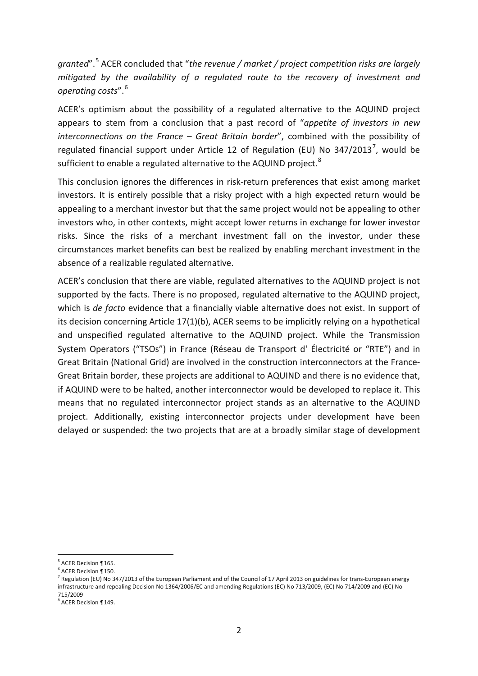*granted*". [5](#page-1-0) ACER concluded that "*the revenue / market / project competition risks are largely mitigated by the availability of a regulated route to the recovery of investment and operating costs*". [6](#page-1-1)

ACER's optimism about the possibility of a regulated alternative to the AQUIND project appears to stem from a conclusion that a past record of "*appetite of investors in new interconnections on the France – Great Britain border*", combined with the possibility of regulated financial support under Article 12 of Regulation (EU) No 34[7](#page-1-2)/2013<sup>7</sup>, would be sufficient to enable a regulated alternative to the AQUIND project.<sup>[8](#page-1-3)</sup>

This conclusion ignores the differences in risk-return preferences that exist among market investors. It is entirely possible that a risky project with a high expected return would be appealing to a merchant investor but that the same project would not be appealing to other investors who, in other contexts, might accept lower returns in exchange for lower investor risks. Since the risks of a merchant investment fall on the investor, under these circumstances market benefits can best be realized by enabling merchant investment in the absence of a realizable regulated alternative.

ACER's conclusion that there are viable, regulated alternatives to the AQUIND project is not supported by the facts. There is no proposed, regulated alternative to the AQUIND project, which is *de facto* evidence that a financially viable alternative does not exist. In support of its decision concerning Article 17(1)(b), ACER seems to be implicitly relying on a hypothetical and unspecified regulated alternative to the AQUIND project. While the Transmission System Operators ("TSOs") in France (Réseau de Transport d' Électricité or "RTE") and in Great Britain (National Grid) are involved in the construction interconnectors at the France-Great Britain border, these projects are additional to AQUIND and there is no evidence that, if AQUIND were to be halted, another interconnector would be developed to replace it. This means that no regulated interconnector project stands as an alternative to the AQUIND project. Additionally, existing interconnector projects under development have been delayed or suspended: the two projects that are at a broadly similar stage of development

<span id="page-1-0"></span> $<sup>5</sup>$  ACER Decision ¶165.<br> $<sup>6</sup>$  ACER Decision ¶150.</sup></sup>

<span id="page-1-2"></span><span id="page-1-1"></span> $\frac{7}{1}$  Regulation (EU) No 347/2013 of the European Parliament and of the Council of 17 April 2013 on guidelines for trans-European energy infrastructure and repealing Decision No 1364/2006/EC and amending Regulations (EC) No 713/2009, (EC) No 714/2009 and (EC) No 715/2009

<span id="page-1-3"></span><sup>8</sup> ACER Decision ¶149.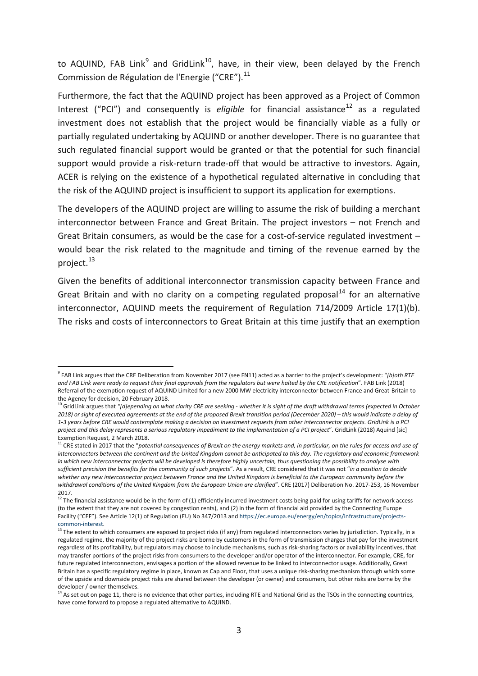to AQUIND, FAB Link<sup>[9](#page-2-1)</sup> and GridLink<sup>[10](#page-2-2)</sup>, have, in their view, been delayed by the French Commission de Régulation de l'Energie ("CRE").<sup>[11](#page-2-3)</sup>

<span id="page-2-0"></span>Furthermore, the fact that the AQUIND project has been approved as a Project of Common Interest ("PCI") and consequently is *eligible* for financial assistance<sup>[12](#page-2-4)</sup> as a regulated investment does not establish that the project would be financially viable as a fully or partially regulated undertaking by AQUIND or another developer. There is no guarantee that such regulated financial support would be granted or that the potential for such financial support would provide a risk-return trade-off that would be attractive to investors. Again, ACER is relying on the existence of a hypothetical regulated alternative in concluding that the risk of the AQUIND project is insufficient to support its application for exemptions.

The developers of the AQUIND project are willing to assume the risk of building a merchant interconnector between France and Great Britain. The project investors – not French and Great Britain consumers, as would be the case for a cost-of-service regulated investment – would bear the risk related to the magnitude and timing of the revenue earned by the project.<sup>[13](#page-2-5)</sup>

Given the benefits of additional interconnector transmission capacity between France and Great Britain and with no clarity on a competing regulated proposal $^{14}$  $^{14}$  $^{14}$  for an alternative interconnector, AQUIND meets the requirement of Regulation 714/2009 Article 17(1)(b). The risks and costs of interconnectors to Great Britain at this time justify that an exemption

<span id="page-2-1"></span> <sup>9</sup> FAB Link argues that the CRE Deliberation from November 2017 (see F[N11\)](#page-2-0) acted as a barrier to the project's development: "*[b]oth RTE and FAB Link were ready to request their final approvals from the regulators but were halted by the CRE notification*". FAB Link (2018) Referral of the exemption request of AQUIND Limited for a new 2000 MW electricity interconnector between France and Great-Britain to the Agency for decision, 20 February 2018.

<span id="page-2-2"></span><sup>10</sup> GridLink argues that *"[d]epending on what clarity CRE are seeking - whether it is sight of the draft withdrawal terms (expected in October 2018) or sight of executed agreements at the end of the proposed Brexit transition period (December 2020) – this would indicate a delay of 1-3 years before CRE would contemplate making a decision on investment requests from other interconnector projects. GridLink is a PCI project and this delay represents a serious regulatory impediment to the implementation of a PCI project*". GridLink (2018) Aquind [sic] Exemption Request, 2 March 2018.

<span id="page-2-3"></span><sup>11</sup> CRE stated in 2017 that the "potential consequences of Brexit on the energy markets and, in particular, on the rules for access and use of *interconnectors between the continent and the United Kingdom cannot be anticipated to this day. The regulatory and economic framework in which new interconnector projects will be developed is therefore highly uncertain, thus questioning the possibility to analyse with sufficient precision the benefits for the community of such projects*". As a result, CRE considered that it was not "*in a position to decide whether any new interconnector project between France and the United Kingdom is beneficial to the European community before the withdrawal conditions of the United Kingdom from the European Union are clarified*". CRE (2017) Deliberation No. 2017-253, 16 November 2017.

<span id="page-2-4"></span> $12$  The financial assistance would be in the form of (1) efficiently incurred investment costs being paid for using tariffs for network access (to the extent that they are not covered by congestion rents), and (2) in the form of financial aid provided by the Connecting Europe Facility ("CEF"). See Article 12(1) of Regulation (EU) No 347/2013 an[d https://ec.europa.eu/energy/en/topics/infrastructure/projects](https://ec.europa.eu/energy/en/topics/infrastructure/projects-common-interest)[common-interest.](https://ec.europa.eu/energy/en/topics/infrastructure/projects-common-interest)<br><sup>13</sup> The extent to which consumers are exposed to project risks (if any) from regulated interconnectors varies by jurisdiction. Typically, in a

<span id="page-2-5"></span>regulated regime, the majority of the project risks are borne by customers in the form of transmission charges that pay for the investment regardless of its profitability, but regulators may choose to include mechanisms, such as risk-sharing factors or availability incentives, that may transfer portions of the project risks from consumers to the developer and/or operator of the interconnector. For example, CRE, for future regulated interconnectors, envisages a portion of the allowed revenue to be linked to interconnector usage. Additionally, Great Britain has a specific regulatory regime in place, known as Cap and Floor, that uses a unique risk-sharing mechanism through which some of the upside and downside project risks are shared between the developer (or owner) and consumers, but other risks are borne by the developer / owner themselves.

<span id="page-2-6"></span><sup>14</sup> As set out on page [11,](#page-12-0) there is no evidence that other parties, including RTE and National Grid as the TSOs in the connecting countries, have come forward to propose a regulated alternative to AQUIND.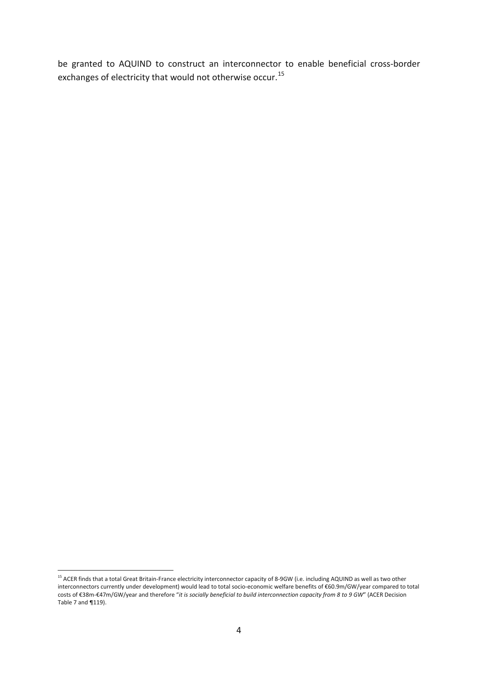be granted to AQUIND to construct an interconnector to enable beneficial cross-border exchanges of electricity that would not otherwise occur.<sup>[15](#page-3-0)</sup>

<span id="page-3-0"></span><sup>&</sup>lt;sup>15</sup> ACER finds that a total Great Britain-France electricity interconnector capacity of 8-9GW (i.e. including AQUIND as well as two other interconnectors currently under development) would lead to total socio-economic welfare benefits of €60.9m/GW/year compared to total costs of €38m-€47m/GW/year and therefore "*it is socially beneficial to build interconnection capacity from 8 to 9 GW*" (ACER Decision Table 7 and ¶119).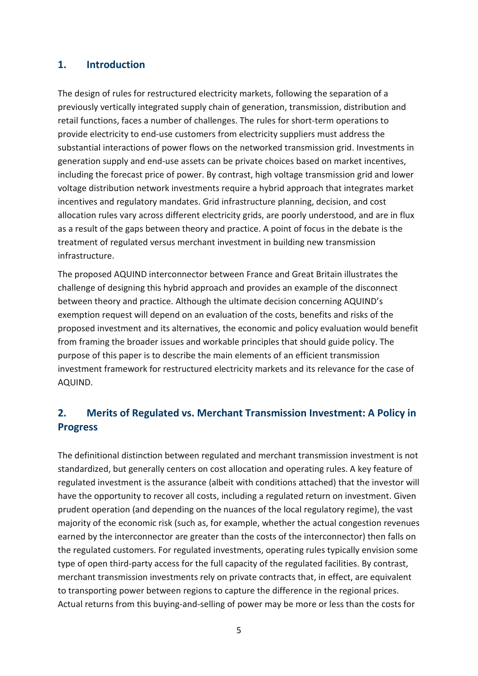#### **1. Introduction**

The design of rules for restructured electricity markets, following the separation of a previously vertically integrated supply chain of generation, transmission, distribution and retail functions, faces a number of challenges. The rules for short-term operations to provide electricity to end-use customers from electricity suppliers must address the substantial interactions of power flows on the networked transmission grid. Investments in generation supply and end-use assets can be private choices based on market incentives, including the forecast price of power. By contrast, high voltage transmission grid and lower voltage distribution network investments require a hybrid approach that integrates market incentives and regulatory mandates. Grid infrastructure planning, decision, and cost allocation rules vary across different electricity grids, are poorly understood, and are in flux as a result of the gaps between theory and practice. A point of focus in the debate is the treatment of regulated versus merchant investment in building new transmission infrastructure.

The proposed AQUIND interconnector between France and Great Britain illustrates the challenge of designing this hybrid approach and provides an example of the disconnect between theory and practice. Although the ultimate decision concerning AQUIND's exemption request will depend on an evaluation of the costs, benefits and risks of the proposed investment and its alternatives, the economic and policy evaluation would benefit from framing the broader issues and workable principles that should guide policy. The purpose of this paper is to describe the main elements of an efficient transmission investment framework for restructured electricity markets and its relevance for the case of AQUIND.

### **2. Merits of Regulated vs. Merchant Transmission Investment: A Policy in Progress**

The definitional distinction between regulated and merchant transmission investment is not standardized, but generally centers on cost allocation and operating rules. A key feature of regulated investment is the assurance (albeit with conditions attached) that the investor will have the opportunity to recover all costs, including a regulated return on investment. Given prudent operation (and depending on the nuances of the local regulatory regime), the vast majority of the economic risk (such as, for example, whether the actual congestion revenues earned by the interconnector are greater than the costs of the interconnector) then falls on the regulated customers. For regulated investments, operating rules typically envision some type of open third-party access for the full capacity of the regulated facilities. By contrast, merchant transmission investments rely on private contracts that, in effect, are equivalent to transporting power between regions to capture the difference in the regional prices. Actual returns from this buying-and-selling of power may be more or less than the costs for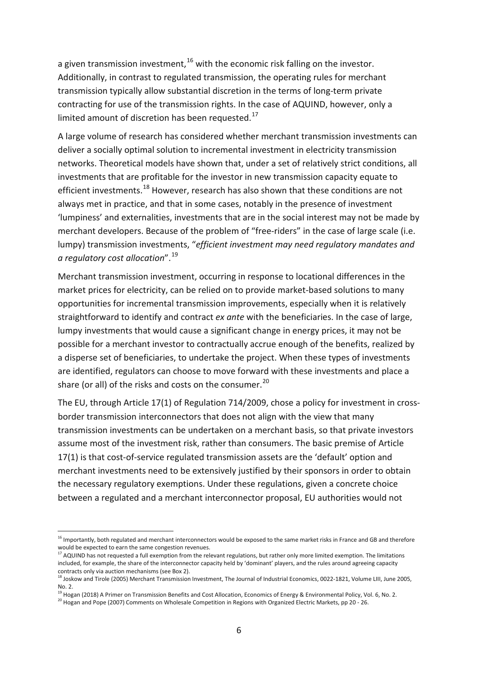a given transmission investment,  $16$  with the economic risk falling on the investor. Additionally, in contrast to regulated transmission, the operating rules for merchant transmission typically allow substantial discretion in the terms of long-term private contracting for use of the transmission rights. In the case of AQUIND, however, only a limited amount of discretion has been requested.<sup>[17](#page-5-1)</sup>

A large volume of research has considered whether merchant transmission investments can deliver a socially optimal solution to incremental investment in electricity transmission networks. Theoretical models have shown that, under a set of relatively strict conditions, all investments that are profitable for the investor in new transmission capacity equate to efficient investments.<sup>[18](#page-5-2)</sup> However, research has also shown that these conditions are not always met in practice, and that in some cases, notably in the presence of investment 'lumpiness' and externalities, investments that are in the social interest may not be made by merchant developers. Because of the problem of "free-riders" in the case of large scale (i.e. lumpy) transmission investments, "*efficient investment may need regulatory mandates and a regulatory cost allocation*". [19](#page-5-3)

Merchant transmission investment, occurring in response to locational differences in the market prices for electricity, can be relied on to provide market-based solutions to many opportunities for incremental transmission improvements, especially when it is relatively straightforward to identify and contract *ex ante* with the beneficiaries. In the case of large, lumpy investments that would cause a significant change in energy prices, it may not be possible for a merchant investor to contractually accrue enough of the benefits, realized by a disperse set of beneficiaries, to undertake the project. When these types of investments are identified, regulators can choose to move forward with these investments and place a share (or all) of the risks and costs on the consumer.<sup>[20](#page-5-4)</sup>

The EU, through Article 17(1) of Regulation 714/2009, chose a policy for investment in crossborder transmission interconnectors that does not align with the view that many transmission investments can be undertaken on a merchant basis, so that private investors assume most of the investment risk, rather than consumers. The basic premise of Article 17(1) is that cost-of-service regulated transmission assets are the 'default' option and merchant investments need to be extensively justified by their sponsors in order to obtain the necessary regulatory exemptions. Under these regulations, given a concrete choice between a regulated and a merchant interconnector proposal, EU authorities would not

<span id="page-5-0"></span><sup>&</sup>lt;sup>16</sup> Importantly, both regulated and merchant interconnectors would be exposed to the same market risks in France and GB and therefore would be expected to earn the same congestion revenues.

<span id="page-5-1"></span><sup>&</sup>lt;sup>17</sup> AQUIND has not requested a full exemption from the relevant regulations, but rather only more limited exemption. The limitations included, for example, the share of the interconnector capacity held by 'dominant' players, and the rules around agreeing capacity contracts only via auction mechanisms (see Box 2).

 $^{18}$  Joskow and Tirole (2005) Merchant Transmission Investment. The Journal of Industrial Economics, 0022-1821, Volume LIII, June 2005,

<span id="page-5-3"></span><span id="page-5-2"></span>No. 2.<br><sup>19</sup> Hogan (2018) A Primer on Transmission Benefits and Cost Allocation, Economics of Energy & Environmental Policy, Vol. 6, No. 2.<br><sup>20</sup> Hogan and Pope (2007) Comments on Wholesale Competition in Regions with Organi

<span id="page-5-4"></span>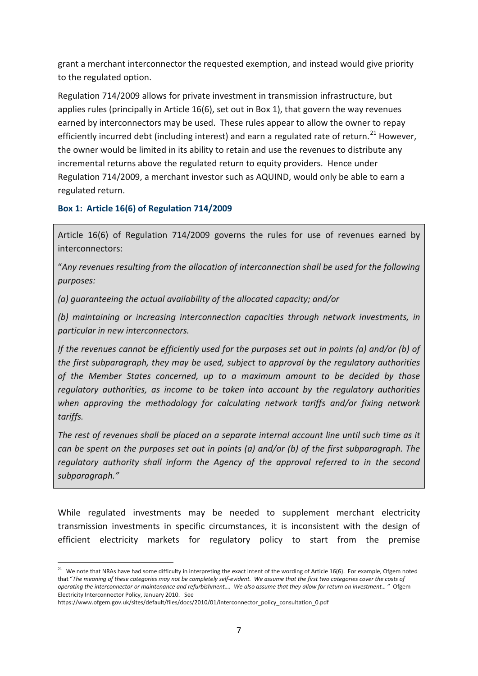grant a merchant interconnector the requested exemption, and instead would give priority to the regulated option.

Regulation 714/2009 allows for private investment in transmission infrastructure, but applies rules (principally in Article 16(6), set out in [Box 1\)](#page-6-0), that govern the way revenues earned by interconnectors may be used. These rules appear to allow the owner to repay efficiently incurred debt (including interest) and earn a regulated rate of return.<sup>[21](#page-6-1)</sup> However, the owner would be limited in its ability to retain and use the revenues to distribute any incremental returns above the regulated return to equity providers. Hence under Regulation 714/2009, a merchant investor such as AQUIND, would only be able to earn a regulated return.

#### <span id="page-6-0"></span>**Box 1: Article 16(6) of Regulation 714/2009**

Article 16(6) of Regulation 714/2009 governs the rules for use of revenues earned by interconnectors:

"*Any revenues resulting from the allocation of interconnection shall be used for the following purposes:*

*(a) guaranteeing the actual availability of the allocated capacity; and/or*

*(b) maintaining or increasing interconnection capacities through network investments, in particular in new interconnectors.*

*If the revenues cannot be efficiently used for the purposes set out in points (a) and/or (b) of the first subparagraph, they may be used, subject to approval by the regulatory authorities of the Member States concerned, up to a maximum amount to be decided by those regulatory authorities, as income to be taken into account by the regulatory authorities when approving the methodology for calculating network tariffs and/or fixing network tariffs.*

*The rest of revenues shall be placed on a separate internal account line until such time as it can be spent on the purposes set out in points (a) and/or (b) of the first subparagraph. The regulatory authority shall inform the Agency of the approval referred to in the second subparagraph."*

While regulated investments may be needed to supplement merchant electricity transmission investments in specific circumstances, it is inconsistent with the design of efficient electricity markets for regulatory policy to start from the premise

<span id="page-6-1"></span><sup>&</sup>lt;sup>21</sup> We note that NRAs have had some difficulty in interpreting the exact intent of the wording of Article 16(6). For example, Ofgem noted that "*The meaning of these categories may not be completely self-evident. We assume that the first two categories cover the costs of operating the interconnector or maintenance and refurbishment…. We also assume that they allow for return on investment…* " Ofgem Electricity Interconnector Policy, January 2010. See

https://www.ofgem.gov.uk/sites/default/files/docs/2010/01/interconnector\_policy\_consultation\_0.pdf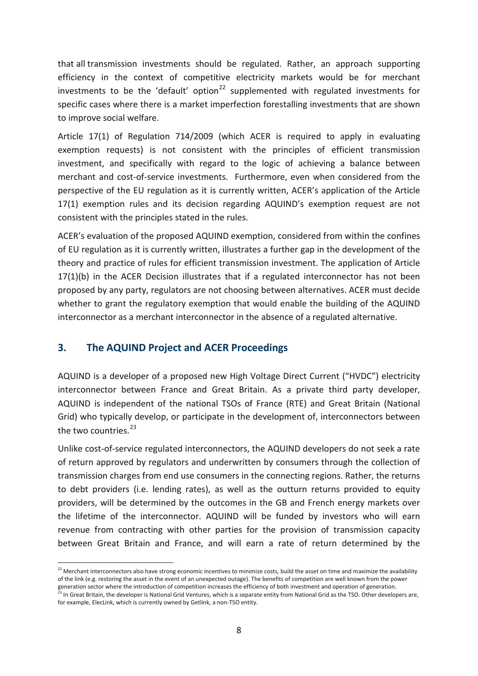that all transmission investments should be regulated. Rather, an approach supporting efficiency in the context of competitive electricity markets would be for merchant investments to be the 'default' option<sup>[22](#page-7-0)</sup> supplemented with regulated investments for specific cases where there is a market imperfection forestalling investments that are shown to improve social welfare.

Article 17(1) of Regulation 714/2009 (which ACER is required to apply in evaluating exemption requests) is not consistent with the principles of efficient transmission investment, and specifically with regard to the logic of achieving a balance between merchant and cost-of-service investments. Furthermore, even when considered from the perspective of the EU regulation as it is currently written, ACER's application of the Article 17(1) exemption rules and its decision regarding AQUIND's exemption request are not consistent with the principles stated in the rules.

ACER's evaluation of the proposed AQUIND exemption, considered from within the confines of EU regulation as it is currently written, illustrates a further gap in the development of the theory and practice of rules for efficient transmission investment. The application of Article 17(1)(b) in the ACER Decision illustrates that if a regulated interconnector has not been proposed by any party, regulators are not choosing between alternatives. ACER must decide whether to grant the regulatory exemption that would enable the building of the AQUIND interconnector as a merchant interconnector in the absence of a regulated alternative.

#### **3. The AQUIND Project and ACER Proceedings**

AQUIND is a developer of a proposed new High Voltage Direct Current ("HVDC") electricity interconnector between France and Great Britain. As a private third party developer, AQUIND is independent of the national TSOs of France (RTE) and Great Britain (National Grid) who typically develop, or participate in the development of, interconnectors between the two countries. $^{23}$  $^{23}$  $^{23}$ 

Unlike cost-of-service regulated interconnectors, the AQUIND developers do not seek a rate of return approved by regulators and underwritten by consumers through the collection of transmission charges from end use consumers in the connecting regions. Rather, the returns to debt providers (i.e. lending rates), as well as the outturn returns provided to equity providers, will be determined by the outcomes in the GB and French energy markets over the lifetime of the interconnector. AQUIND will be funded by investors who will earn revenue from contracting with other parties for the provision of transmission capacity between Great Britain and France, and will earn a rate of return determined by the

<span id="page-7-0"></span><sup>&</sup>lt;sup>22</sup> Merchant interconnectors also have strong economic incentives to minimize costs, build the asset on time and maximize the availability of the link (e.g. restoring the asset in the event of an unexpected outage). The benefits of competition are well known from the power generation sector where the introduction of competition increases the efficiency of both investment and operation of generation.<br><sup>23</sup> In Great Britain, the developer is National Grid Ventures, which is a separate entity fr

<span id="page-7-1"></span>for example, ElecLink, which is currently owned by Getlink, a non-TSO entity.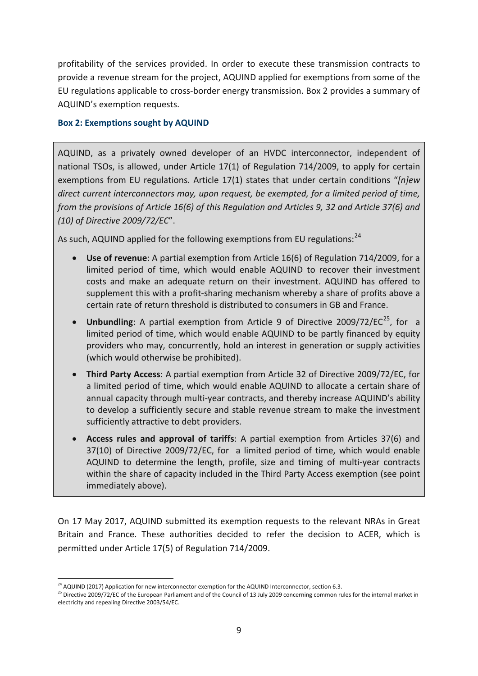profitability of the services provided. In order to execute these transmission contracts to provide a revenue stream for the project, AQUIND applied for exemptions from some of the EU regulations applicable to cross-border energy transmission. [Box 2](#page-8-0) provides a summary of AQUIND's exemption requests.

#### <span id="page-8-0"></span>**Box 2: Exemptions sought by AQUIND**

AQUIND, as a privately owned developer of an HVDC interconnector, independent of national TSOs, is allowed, under Article 17(1) of Regulation 714/2009, to apply for certain exemptions from EU regulations. Article 17(1) states that under certain conditions "*[n]ew direct current interconnectors may, upon request, be exempted, for a limited period of time, from the provisions of Article 16(6) of this Regulation and Articles 9, 32 and Article 37(6) and (10) of Directive 2009/72/EC*".

As such, AQUIND applied for the following exemptions from EU regulations:<sup>[24](#page-8-1)</sup>

- **Use of revenue**: A partial exemption from Article 16(6) of Regulation 714/2009, for a limited period of time, which would enable AQUIND to recover their investment costs and make an adequate return on their investment. AQUIND has offered to supplement this with a profit-sharing mechanism whereby a share of profits above a certain rate of return threshold is distributed to consumers in GB and France.
- **Unbundling**: A partial exemption from Article 9 of Directive 2009/72/EC<sup>25</sup>, for a limited period of time, which would enable AQUIND to be partly financed by equity providers who may, concurrently, hold an interest in generation or supply activities (which would otherwise be prohibited).
- **Third Party Access**: A partial exemption from Article 32 of Directive 2009/72/EC, for a limited period of time, which would enable AQUIND to allocate a certain share of annual capacity through multi-year contracts, and thereby increase AQUIND's ability to develop a sufficiently secure and stable revenue stream to make the investment sufficiently attractive to debt providers.
- **Access rules and approval of tariffs**: A partial exemption from Articles 37(6) and 37(10) of Directive 2009/72/EC, for a limited period of time, which would enable AQUIND to determine the length, profile, size and timing of multi-year contracts within the share of capacity included in the Third Party Access exemption (see point immediately above).

On 17 May 2017, AQUIND submitted its exemption requests to the relevant NRAs in Great Britain and France. These authorities decided to refer the decision to ACER, which is permitted under Article 17(5) of Regulation 714/2009.

<span id="page-8-2"></span><span id="page-8-1"></span><sup>&</sup>lt;sup>24</sup> AQUIND (2017) Application for new interconnector exemption for the AQUIND Interconnector, section 6.3.<br><sup>25</sup> Directive 2009/72/EC of the European Parliament and of the Council of 13 July 2009 concerning common rules f electricity and repealing Directive 2003/54/EC.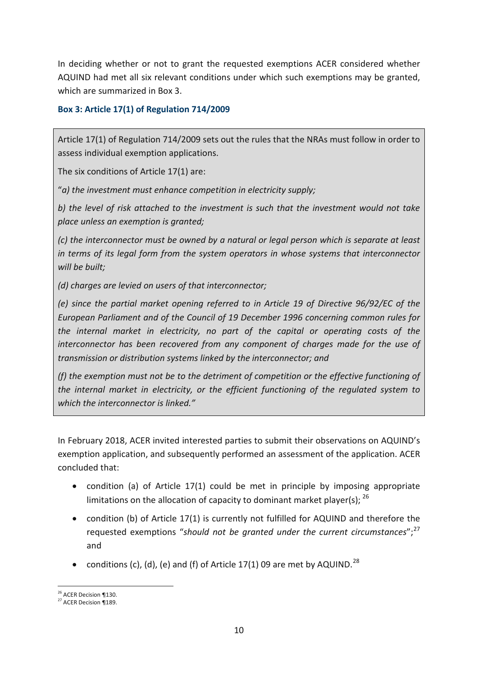In deciding whether or not to grant the requested exemptions ACER considered whether AQUIND had met all six relevant conditions under which such exemptions may be granted, which are summarized in [Box 3.](#page-9-0)

#### <span id="page-9-0"></span>**Box 3: Article 17(1) of Regulation 714/2009**

Article 17(1) of Regulation 714/2009 sets out the rules that the NRAs must follow in order to assess individual exemption applications.

The six conditions of Article 17(1) are:

"*a) the investment must enhance competition in electricity supply;*

*b) the level of risk attached to the investment is such that the investment would not take place unless an exemption is granted;*

*(c) the interconnector must be owned by a natural or legal person which is separate at least in terms of its legal form from the system operators in whose systems that interconnector will be built;*

*(d) charges are levied on users of that interconnector;*

*(e) since the partial market opening referred to in Article 19 of Directive 96/92/EC of the European Parliament and of the Council of 19 December 1996 concerning common rules for the internal market in electricity, no part of the capital or operating costs of the interconnector has been recovered from any component of charges made for the use of transmission or distribution systems linked by the interconnector; and*

*(f) the exemption must not be to the detriment of competition or the effective functioning of the internal market in electricity, or the efficient functioning of the regulated system to which the interconnector is linked."*

In February 2018, ACER invited interested parties to submit their observations on AQUIND's exemption application, and subsequently performed an assessment of the application. ACER concluded that:

- condition (a) of Article 17(1) could be met in principle by imposing appropriate limitations on the allocation of capacity to dominant market player(s):  $^{26}$  $^{26}$  $^{26}$
- condition (b) of Article 17(1) is currently not fulfilled for AQUIND and therefore the requested exemptions "should not be granted under the current circumstances";<sup>[27](#page-9-2)</sup> and
- conditions (c), (d), (e) and (f) of Article 17(1) 09 are met by AQUIND.<sup>[28](#page-9-3)</sup>

<span id="page-9-3"></span><span id="page-9-2"></span><span id="page-9-1"></span><sup>&</sup>lt;sup>26</sup> ACER Decision ¶130.<br><sup>27</sup> ACER Decision ¶189.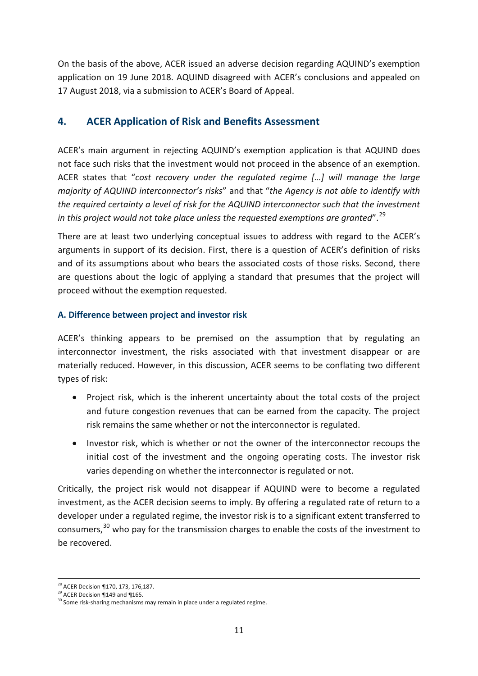On the basis of the above, ACER issued an adverse decision regarding AQUIND's exemption application on 19 June 2018. AQUIND disagreed with ACER's conclusions and appealed on 17 August 2018, via a submission to ACER's Board of Appeal.

#### **4. ACER Application of Risk and Benefits Assessment**

ACER's main argument in rejecting AQUIND's exemption application is that AQUIND does not face such risks that the investment would not proceed in the absence of an exemption. ACER states that "*cost recovery under the regulated regime […] will manage the large majority of AQUIND interconnector's risks*" and that "*the Agency is not able to identify with the required certainty a level of risk for the AQUIND interconnector such that the investment in this project would not take place unless the requested exemptions are granted*". [29](#page-10-0)

There are at least two underlying conceptual issues to address with regard to the ACER's arguments in support of its decision. First, there is a question of ACER's definition of risks and of its assumptions about who bears the associated costs of those risks. Second, there are questions about the logic of applying a standard that presumes that the project will proceed without the exemption requested.

#### **A. Difference between project and investor risk**

ACER's thinking appears to be premised on the assumption that by regulating an interconnector investment, the risks associated with that investment disappear or are materially reduced. However, in this discussion, ACER seems to be conflating two different types of risk:

- Project risk, which is the inherent uncertainty about the total costs of the project and future congestion revenues that can be earned from the capacity. The project risk remains the same whether or not the interconnector is regulated.
- Investor risk, which is whether or not the owner of the interconnector recoups the initial cost of the investment and the ongoing operating costs. The investor risk varies depending on whether the interconnector is regulated or not.

Critically, the project risk would not disappear if AQUIND were to become a regulated investment, as the ACER decision seems to imply. By offering a regulated rate of return to a developer under a regulated regime, the investor risk is to a significant extent transferred to consumers,<sup>[30](#page-10-1)</sup> who pay for the transmission charges to enable the costs of the investment to be recovered.

<span id="page-10-1"></span>

<span id="page-10-0"></span><sup>&</sup>lt;sup>28</sup> ACER Decision ¶170, 173, 176,187.<br><sup>29</sup> ACER Decision ¶149 and ¶165.<br><sup>30</sup> Some risk-sharing mechanisms may remain in place under a regulated regime.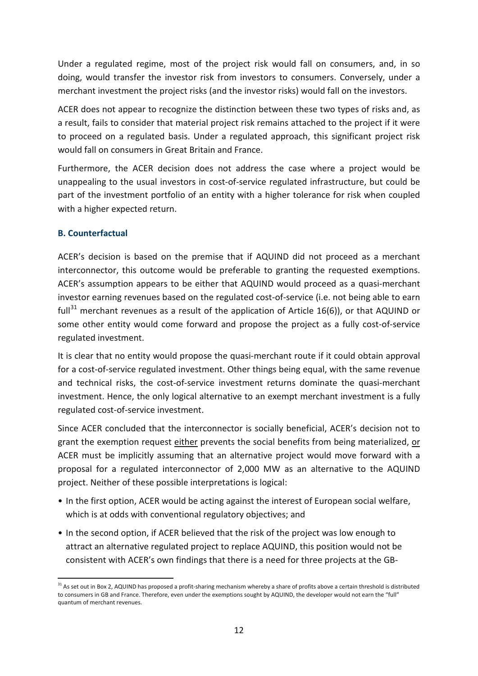Under a regulated regime, most of the project risk would fall on consumers, and, in so doing, would transfer the investor risk from investors to consumers. Conversely, under a merchant investment the project risks (and the investor risks) would fall on the investors.

ACER does not appear to recognize the distinction between these two types of risks and, as a result, fails to consider that material project risk remains attached to the project if it were to proceed on a regulated basis. Under a regulated approach, this significant project risk would fall on consumers in Great Britain and France.

Furthermore, the ACER decision does not address the case where a project would be unappealing to the usual investors in cost-of-service regulated infrastructure, but could be part of the investment portfolio of an entity with a higher tolerance for risk when coupled with a higher expected return.

#### **B. Counterfactual**

ACER's decision is based on the premise that if AQUIND did not proceed as a merchant interconnector, this outcome would be preferable to granting the requested exemptions. ACER's assumption appears to be either that AQUIND would proceed as a quasi-merchant investor earning revenues based on the regulated cost-of-service (i.e. not being able to earn full<sup>[31](#page-11-0)</sup> merchant revenues as a result of the application of Article 16(6)), or that AQUIND or some other entity would come forward and propose the project as a fully cost-of-service regulated investment.

It is clear that no entity would propose the quasi-merchant route if it could obtain approval for a cost-of-service regulated investment. Other things being equal, with the same revenue and technical risks, the cost-of-service investment returns dominate the quasi-merchant investment. Hence, the only logical alternative to an exempt merchant investment is a fully regulated cost-of-service investment.

Since ACER concluded that the interconnector is socially beneficial, ACER's decision not to grant the exemption request either prevents the social benefits from being materialized, or ACER must be implicitly assuming that an alternative project would move forward with a proposal for a regulated interconnector of 2,000 MW as an alternative to the AQUIND project. Neither of these possible interpretations is logical:

- In the first option, ACER would be acting against the interest of European social welfare, which is at odds with conventional regulatory objectives; and
- In the second option, if ACER believed that the risk of the project was low enough to attract an alternative regulated project to replace AQUIND, this position would not be consistent with ACER's own findings that there is a need for three projects at the GB-

<span id="page-11-0"></span> $31$  As set out in Box 2. AQUIND has proposed a profit-sharing mechanism whereby a share of profits above a certain threshold is distributed to consumers in GB and France. Therefore, even under the exemptions sought by AQUIND, the developer would not earn the "full" quantum of merchant revenues.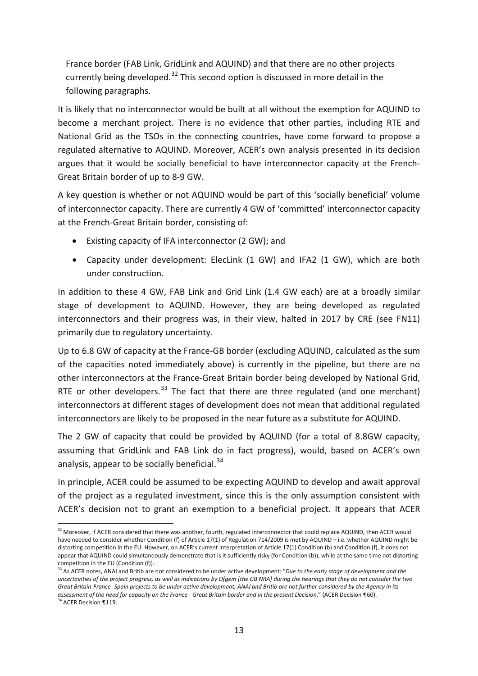France border (FAB Link, GridLink and AQUIND) and that there are no other projects currently being developed. $32$  This second option is discussed in more detail in the following paragraphs.

<span id="page-12-0"></span>It is likely that no interconnector would be built at all without the exemption for AQUIND to become a merchant project. There is no evidence that other parties, including RTE and National Grid as the TSOs in the connecting countries, have come forward to propose a regulated alternative to AQUIND. Moreover, ACER's own analysis presented in its decision argues that it would be socially beneficial to have interconnector capacity at the French-Great Britain border of up to 8-9 GW.

A key question is whether or not AQUIND would be part of this 'socially beneficial' volume of interconnector capacity. There are currently 4 GW of 'committed' interconnector capacity at the French-Great Britain border, consisting of:

- Existing capacity of IFA interconnector (2 GW); and
- Capacity under development: ElecLink (1 GW) and IFA2 (1 GW), which are both under construction.

In addition to these 4 GW, FAB Link and Grid Link (1.4 GW each) are at a broadly similar stage of development to AQUIND. However, they are being developed as regulated interconnectors and their progress was, in their view, halted in 2017 by CRE (see F[N11\)](#page-2-0) primarily due to regulatory uncertainty.

Up to 6.8 GW of capacity at the France-GB border (excluding AQUIND, calculated as the sum of the capacities noted immediately above) is currently in the pipeline, but there are no other interconnectors at the France-Great Britain border being developed by National Grid, RTE or other developers.<sup>[33](#page-12-2)</sup> The fact that there are three regulated (and one merchant) interconnectors at different stages of development does not mean that additional regulated interconnectors are likely to be proposed in the near future as a substitute for AQUIND.

The 2 GW of capacity that could be provided by AQUIND (for a total of 8.8GW capacity, assuming that GridLink and FAB Link do in fact progress), would, based on ACER's own analysis, appear to be socially beneficial.<sup>[34](#page-12-3)</sup>

In principle, ACER could be assumed to be expecting AQUIND to develop and await approval of the project as a regulated investment, since this is the only assumption consistent with ACER's decision not to grant an exemption to a beneficial project. It appears that ACER

<span id="page-12-1"></span><sup>&</sup>lt;sup>32</sup> Moreover, if ACER considered that there was another, fourth, regulated interconnector that could replace AQUIND, then ACER would have needed to consider whether Condition (f) of Article 17(1) of Regulation 714/2009 is met by AQUIND – i.e. whether AQUIND might be distorting competition in the EU. However, on ACER's current interpretation of Article 17(1) Condition (b) and Condition (f), it does not appear that AQUIND could simultaneously demonstrate that is it sufficiently risky (for Condition (b)), while at the same time not distorting competition in the EU (Condition (f)).

<span id="page-12-3"></span><span id="page-12-2"></span><sup>33</sup> As ACER notes, ANAI and Britib are not considered to be under active development: "*Due to the early stage of development and the uncertainties of the project progress, as well as indications by Ofgem [the GB NRA] during the hearings that they do not consider the two Great Britain-France -Spain projects to be under active development, ANAl and Britib are not further considered by the Agency in its assessment of the need for capacity on the France - Great Britain border and in the present Decision." (ACER Decision ¶60).* 34 ACER Decision ¶60).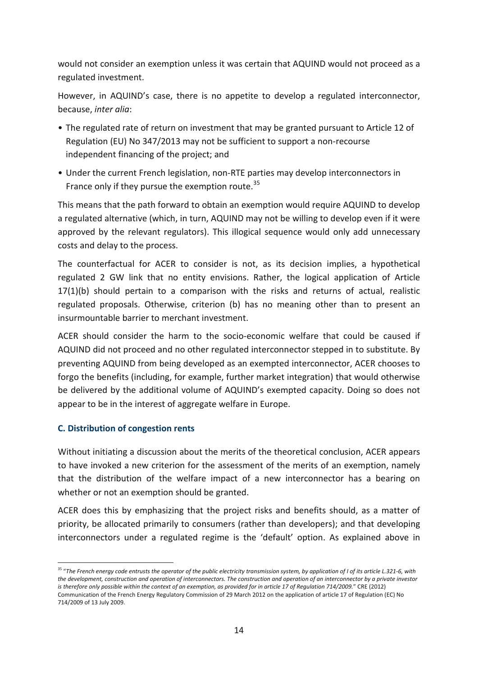would not consider an exemption unless it was certain that AQUIND would not proceed as a regulated investment.

However, in AQUIND's case, there is no appetite to develop a regulated interconnector, because, *inter alia*:

- The regulated rate of return on investment that may be granted pursuant to Article 12 of Regulation (EU) No 347/2013 may not be sufficient to support a non-recourse independent financing of the project; and
- Under the current French legislation, non-RTE parties may develop interconnectors in France only if they pursue the exemption route. $35$

This means that the path forward to obtain an exemption would require AQUIND to develop a regulated alternative (which, in turn, AQUIND may not be willing to develop even if it were approved by the relevant regulators). This illogical sequence would only add unnecessary costs and delay to the process.

The counterfactual for ACER to consider is not, as its decision implies, a hypothetical regulated 2 GW link that no entity envisions. Rather, the logical application of Article 17(1)(b) should pertain to a comparison with the risks and returns of actual, realistic regulated proposals. Otherwise, criterion (b) has no meaning other than to present an insurmountable barrier to merchant investment.

ACER should consider the harm to the socio-economic welfare that could be caused if AQUIND did not proceed and no other regulated interconnector stepped in to substitute. By preventing AQUIND from being developed as an exempted interconnector, ACER chooses to forgo the benefits (including, for example, further market integration) that would otherwise be delivered by the additional volume of AQUIND's exempted capacity. Doing so does not appear to be in the interest of aggregate welfare in Europe.

#### **C. Distribution of congestion rents**

Without initiating a discussion about the merits of the theoretical conclusion, ACER appears to have invoked a new criterion for the assessment of the merits of an exemption, namely that the distribution of the welfare impact of a new interconnector has a bearing on whether or not an exemption should be granted.

ACER does this by emphasizing that the project risks and benefits should, as a matter of priority, be allocated primarily to consumers (rather than developers); and that developing interconnectors under a regulated regime is the 'default' option. As explained above in

<span id="page-13-0"></span> <sup>35</sup> "*The French energy code entrusts the operator of the public electricity transmission system, by application of I of its article L.321-6, with the development, construction and operation of interconnectors. The construction and operation of an interconnector by a private investor is therefore only possible within the context of an exemption, as provided for in article 17 of Regulation 714/2009.*" CRE (2012) Communication of the French Energy Regulatory Commission of 29 March 2012 on the application of article 17 of Regulation (EC) No 714/2009 of 13 July 2009.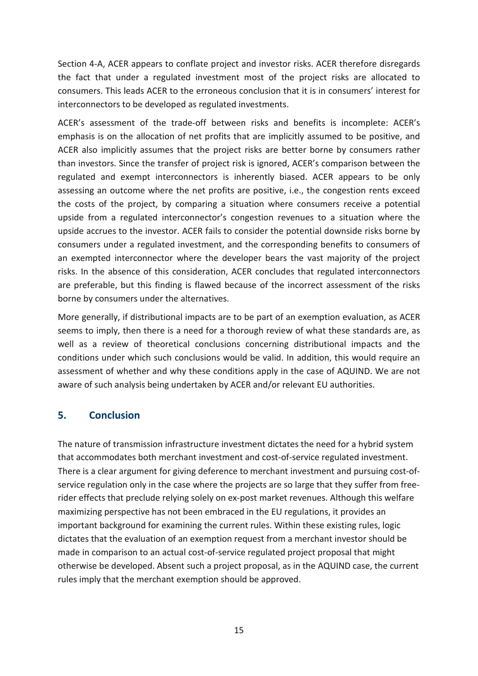Section 4-A, ACER appears to conflate project and investor risks. ACER therefore disregards the fact that under a regulated investment most of the project risks are allocated to consumers. This leads ACER to the erroneous conclusion that it is in consumers' interest for interconnectors to be developed as regulated investments.

ACER's assessment of the trade-off between risks and benefits is incomplete: ACER's emphasis is on the allocation of net profits that are implicitly assumed to be positive, and ACER also implicitly assumes that the project risks are better borne by consumers rather than investors. Since the transfer of project risk is ignored, ACER's comparison between the regulated and exempt interconnectors is inherently biased. ACER appears to be only assessing an outcome where the net profits are positive, i.e., the congestion rents exceed the costs of the project, by comparing a situation where consumers receive a potential upside from a regulated interconnector's congestion revenues to a situation where the upside accrues to the investor. ACER fails to consider the potential downside risks borne by consumers under a regulated investment, and the corresponding benefits to consumers of an exempted interconnector where the developer bears the vast majority of the project risks. In the absence of this consideration, ACER concludes that regulated interconnectors are preferable, but this finding is flawed because of the incorrect assessment of the risks borne by consumers under the alternatives.

More generally, if distributional impacts are to be part of an exemption evaluation, as ACER seems to imply, then there is a need for a thorough review of what these standards are, as well as a review of theoretical conclusions concerning distributional impacts and the conditions under which such conclusions would be valid. In addition, this would require an assessment of whether and why these conditions apply in the case of AQUIND. We are not aware of such analysis being undertaken by ACER and/or relevant EU authorities.

#### **5. Conclusion**

The nature of transmission infrastructure investment dictates the need for a hybrid system that accommodates both merchant investment and cost-of-service regulated investment. There is a clear argument for giving deference to merchant investment and pursuing cost-ofservice regulation only in the case where the projects are so large that they suffer from freerider effects that preclude relying solely on ex-post market revenues. Although this welfare maximizing perspective has not been embraced in the EU regulations, it provides an important background for examining the current rules. Within these existing rules, logic dictates that the evaluation of an exemption request from a merchant investor should be made in comparison to an actual cost-of-service regulated project proposal that might otherwise be developed. Absent such a project proposal, as in the AQUIND case, the current rules imply that the merchant exemption should be approved.